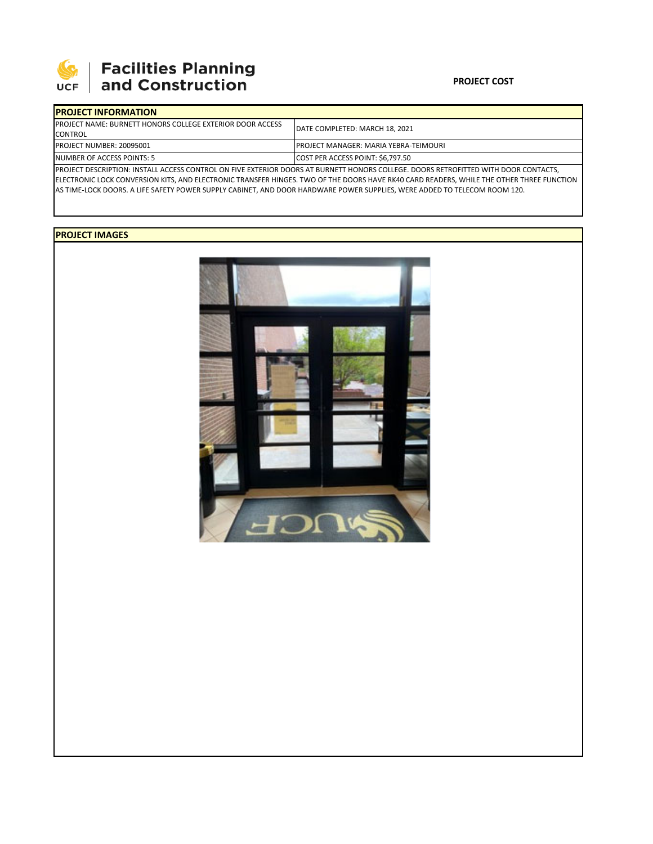

# **SEPTE SECUTE SECULIES Planning**<br>UCF and Construction

### **PROJECT COST**

| <b>IPROJECT INFORMATION</b>                                                                                                         |                                               |  |  |  |
|-------------------------------------------------------------------------------------------------------------------------------------|-----------------------------------------------|--|--|--|
| <b>IPROJECT NAME: BURNETT HONORS COLLEGE EXTERIOR DOOR ACCESS</b>                                                                   | DATE COMPLETED: MARCH 18, 2021                |  |  |  |
| <b>CONTROL</b>                                                                                                                      |                                               |  |  |  |
| <b>PROJECT NUMBER: 20095001</b>                                                                                                     | <b>IPROJECT MANAGER: MARIA YEBRA-TEIMOURI</b> |  |  |  |
| NUMBER OF ACCESS POINTS: 5                                                                                                          | COST PER ACCESS POINT: \$6,797.50             |  |  |  |
| PROJECT DESCRIPTION: INSTALL ACCESS CONTROL ON FIVE EXTERIOR DOORS AT BURNETT HONORS COLLEGE. DOORS RETROFITTED WITH DOOR CONTACTS, |                                               |  |  |  |

ELECTRONIC LOCK CONVERSION KITS, AND ELECTRONIC TRANSFER HINGES. TWO OF THE DOORS HAVE RK40 CARD READERS, WHILE THE OTHER THREE FUNCTION AS TIME‐LOCK DOORS. A LIFE SAFETY POWER SUPPLY CABINET, AND DOOR HARDWARE POWER SUPPLIES, WERE ADDED TO TELECOM ROOM 120.

## **PROJECT IMAGES**